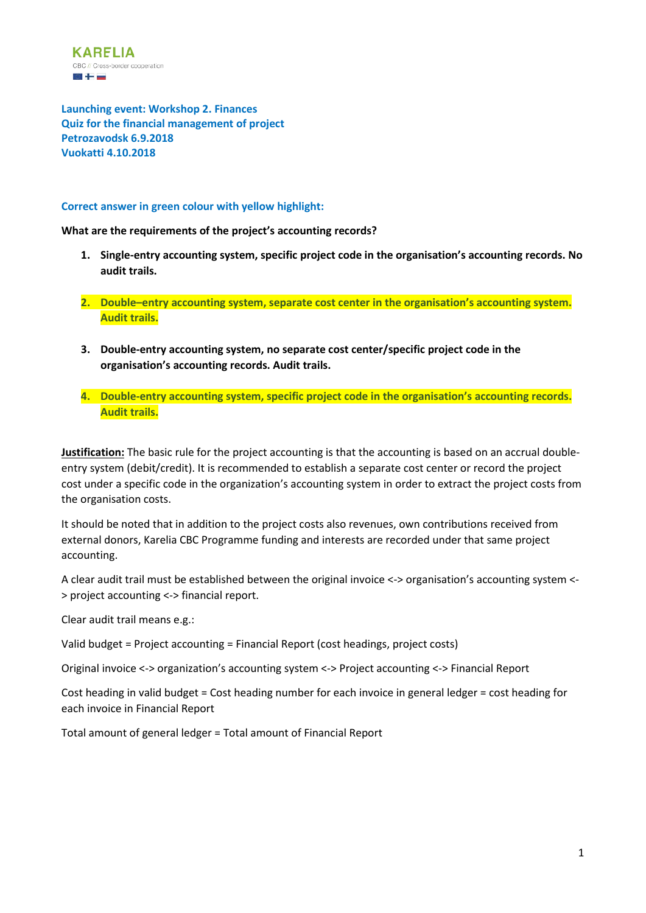**Launching event: Workshop 2. Finances Quiz for the financial management of project Petrozavodsk 6.9.2018 Vuokatti 4.10.2018**

## **Correct answer in green colour with yellow highlight:**

**What are the requirements of the project's accounting records?**

- **1. Single-entry accounting system, specific project code in the organisation's accounting records. No audit trails.**
- **2. Double–entry accounting system, separate cost center in the organisation's accounting system. Audit trails.**
- **3. Double-entry accounting system, no separate cost center/specific project code in the organisation's accounting records. Audit trails.**
- **4. Double-entry accounting system, specific project code in the organisation's accounting records. Audit trails.**

**Justification:** The basic rule for the project accounting is that the accounting is based on an accrual doubleentry system (debit/credit). It is recommended to establish a separate cost center or record the project cost under a specific code in the organization's accounting system in order to extract the project costs from the organisation costs.

It should be noted that in addition to the project costs also revenues, own contributions received from external donors, Karelia CBC Programme funding and interests are recorded under that same project accounting.

A clear audit trail must be established between the original invoice <-> organisation's accounting system <- > project accounting <-> financial report.

Clear audit trail means e.g.:

Valid budget = Project accounting = Financial Report (cost headings, project costs)

Original invoice <-> organization's accounting system <-> Project accounting <-> Financial Report

Cost heading in valid budget = Cost heading number for each invoice in general ledger = cost heading for each invoice in Financial Report

Total amount of general ledger = Total amount of Financial Report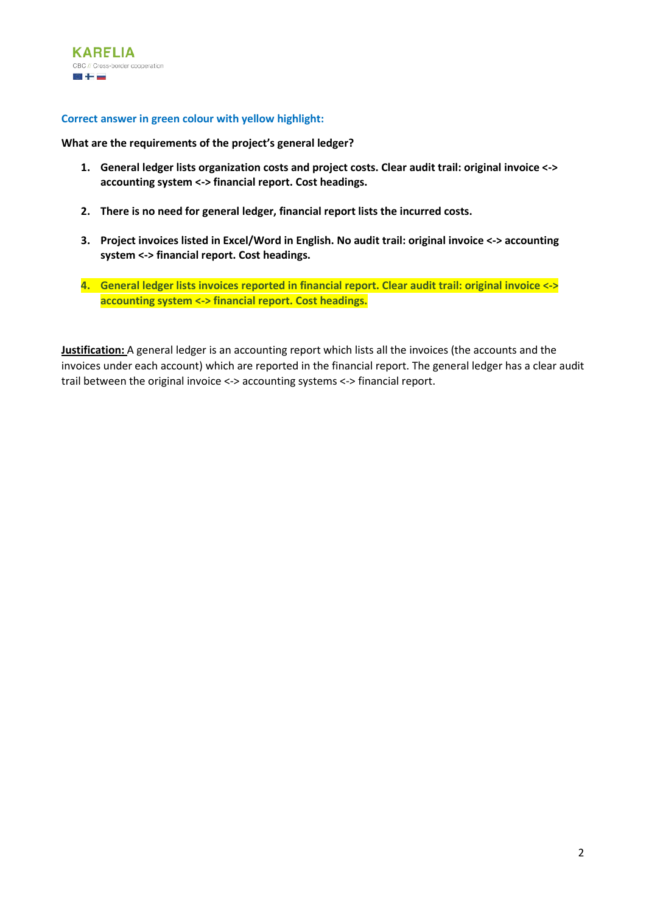**What are the requirements of the project's general ledger?**

- **1. General ledger lists organization costs and project costs. Clear audit trail: original invoice <-> accounting system <-> financial report. Cost headings.**
- **2. There is no need for general ledger, financial report lists the incurred costs.**
- **3. Project invoices listed in Excel/Word in English. No audit trail: original invoice <-> accounting system <-> financial report. Cost headings.**
- **4. General ledger lists invoices reported in financial report. Clear audit trail: original invoice <-> accounting system <-> financial report. Cost headings.**

**Justification:** A general ledger is an accounting report which lists all the invoices (the accounts and the invoices under each account) which are reported in the financial report. The general ledger has a clear audit trail between the original invoice <-> accounting systems <-> financial report.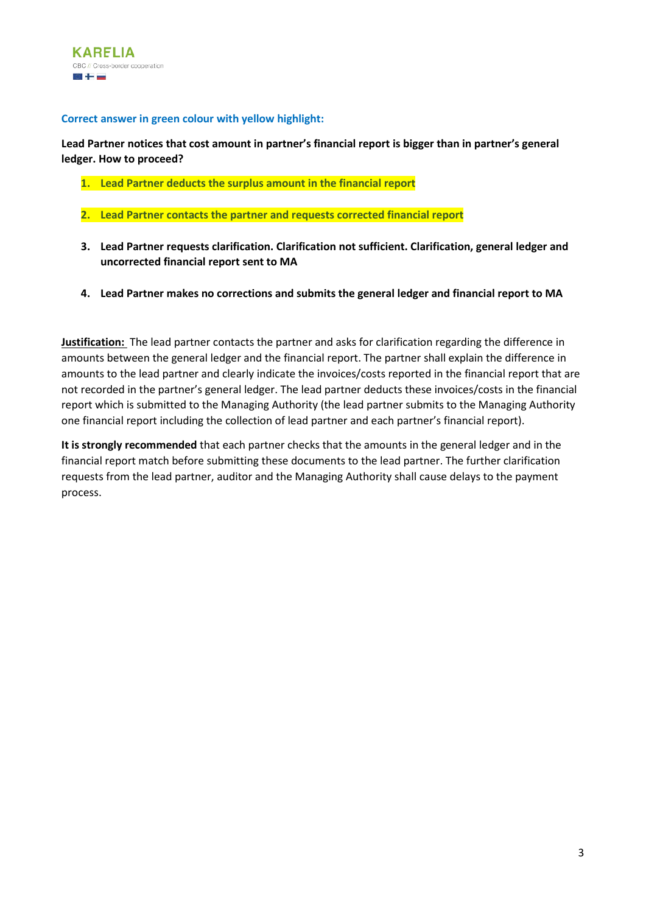**Lead Partner notices that cost amount in partner's financial report is bigger than in partner's general ledger. How to proceed?**

- **1. Lead Partner deducts the surplus amount in the financial report**
- **2. Lead Partner contacts the partner and requests corrected financial report**
- **3. Lead Partner requests clarification. Clarification not sufficient. Clarification, general ledger and uncorrected financial report sent to MA**
- **4. Lead Partner makes no corrections and submits the general ledger and financial report to MA**

**Justification:** The lead partner contacts the partner and asks for clarification regarding the difference in amounts between the general ledger and the financial report. The partner shall explain the difference in amounts to the lead partner and clearly indicate the invoices/costs reported in the financial report that are not recorded in the partner's general ledger. The lead partner deducts these invoices/costs in the financial report which is submitted to the Managing Authority (the lead partner submits to the Managing Authority one financial report including the collection of lead partner and each partner's financial report).

**It is strongly recommended** that each partner checks that the amounts in the general ledger and in the financial report match before submitting these documents to the lead partner. The further clarification requests from the lead partner, auditor and the Managing Authority shall cause delays to the payment process.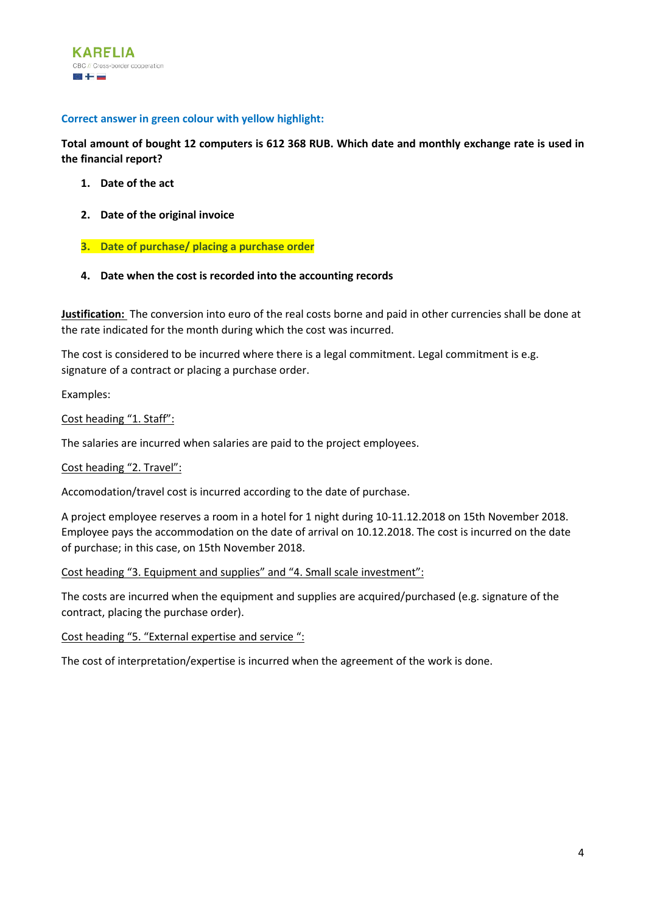**Total amount of bought 12 computers is 612 368 RUB. Which date and monthly exchange rate is used in the financial report?**

- **1. Date of the act**
- **2. Date of the original invoice**
- **3. Date of purchase/ placing a purchase order**
- **4. Date when the cost is recorded into the accounting records**

**Justification:** The conversion into euro of the real costs borne and paid in other currencies shall be done at the rate indicated for the month during which the cost was incurred.

The cost is considered to be incurred where there is a legal commitment. Legal commitment is e.g. signature of a contract or placing a purchase order.

Examples:

Cost heading "1. Staff":

The salaries are incurred when salaries are paid to the project employees.

Cost heading "2. Travel":

Accomodation/travel cost is incurred according to the date of purchase.

A project employee reserves a room in a hotel for 1 night during 10-11.12.2018 on 15th November 2018. Employee pays the accommodation on the date of arrival on 10.12.2018. The cost is incurred on the date of purchase; in this case, on 15th November 2018.

Cost heading "3. Equipment and supplies" and "4. Small scale investment":

The costs are incurred when the equipment and supplies are acquired/purchased (e.g. signature of the contract, placing the purchase order).

Cost heading "5. "External expertise and service ":

The cost of interpretation/expertise is incurred when the agreement of the work is done.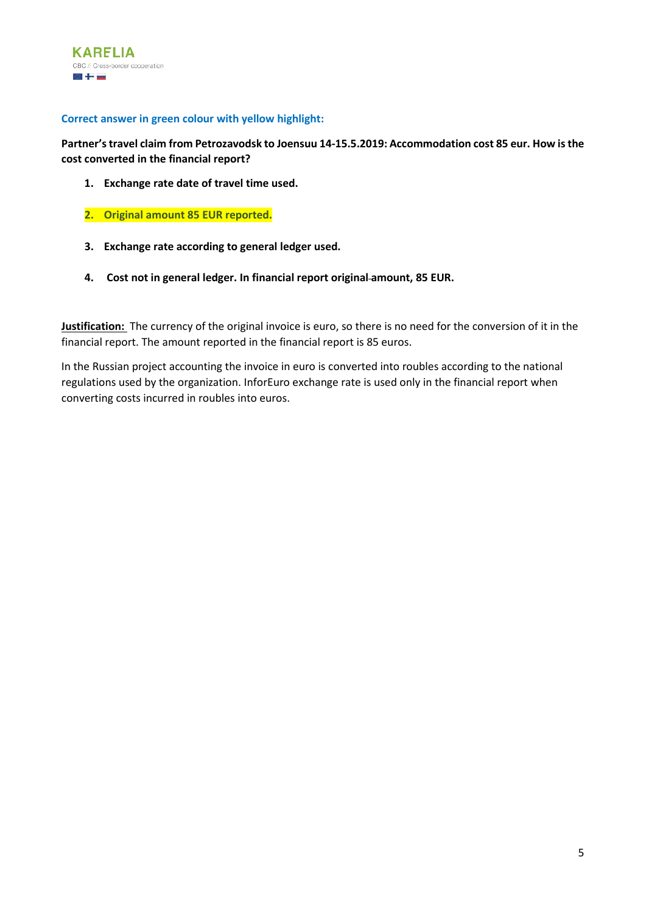**Partner's travel claim from Petrozavodsk to Joensuu 14-15.5.2019: Accommodation cost 85 eur. How is the cost converted in the financial report?**

- **1. Exchange rate date of travel time used.**
- **2. Original amount 85 EUR reported.**
- **3. Exchange rate according to general ledger used.**
- **4. Cost not in general ledger. In financial report original amount, 85 EUR.**

**Justification:** The currency of the original invoice is euro, so there is no need for the conversion of it in the financial report. The amount reported in the financial report is 85 euros.

In the Russian project accounting the invoice in euro is converted into roubles according to the national regulations used by the organization. InforEuro exchange rate is used only in the financial report when converting costs incurred in roubles into euros.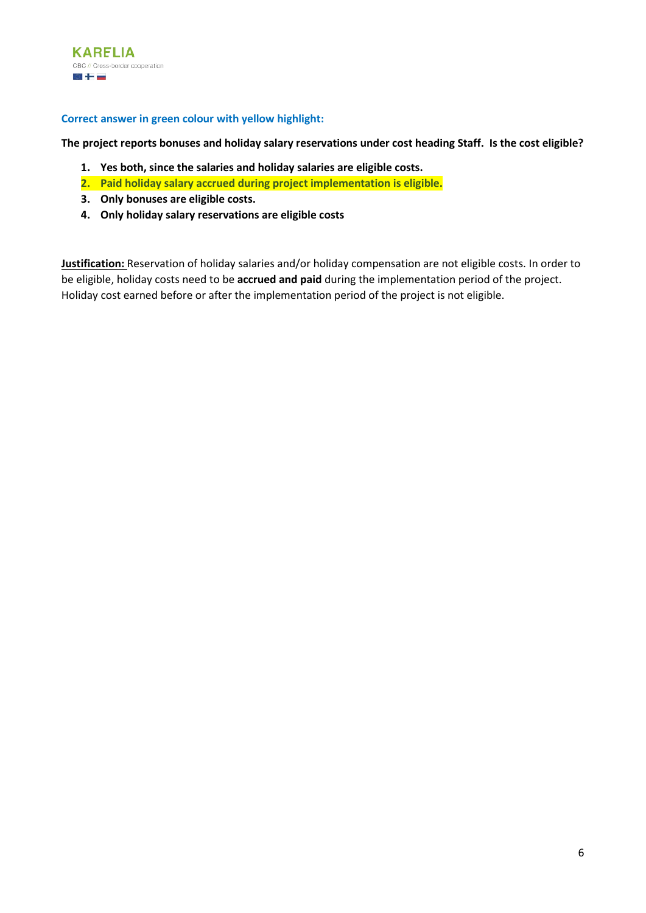**The project reports bonuses and holiday salary reservations under cost heading Staff. Is the cost eligible?**

- **1. Yes both, since the salaries and holiday salaries are eligible costs.**
- **2. Paid holiday salary accrued during project implementation is eligible.**
- **3. Only bonuses are eligible costs.**
- **4. Only holiday salary reservations are eligible costs**

**Justification:** Reservation of holiday salaries and/or holiday compensation are not eligible costs. In order to be eligible, holiday costs need to be **accrued and paid** during the implementation period of the project. Holiday cost earned before or after the implementation period of the project is not eligible.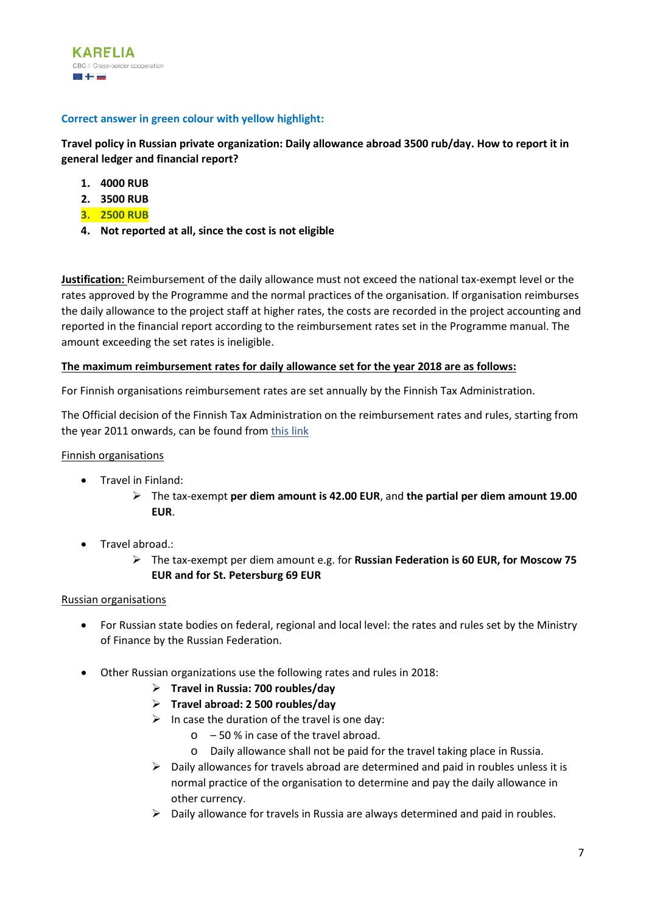**Travel policy in Russian private organization: Daily allowance abroad 3500 rub/day. How to report it in general ledger and financial report?**

- **1. 4000 RUB**
- **2. 3500 RUB**
- **3. 2500 RUB**
- **4. Not reported at all, since the cost is not eligible**

**Justification:** Reimbursement of the daily allowance must not exceed the national tax-exempt level or the rates approved by the Programme and the normal practices of the organisation. If organisation reimburses the daily allowance to the project staff at higher rates, the costs are recorded in the project accounting and reported in the financial report according to the reimbursement rates set in the Programme manual. The amount exceeding the set rates is ineligible.

### **The maximum reimbursement rates for daily allowance set for the year 2018 are as follows:**

For Finnish organisations reimbursement rates are set annually by the Finnish Tax Administration.

The Official decision of the Finnish Tax Administration on the reimbursement rates and rules, starting from the year 2011 onwards, can be found from [this link](https://www.vero.fi/en/detailed-guidance/decisions/47405/tax-exempt-allowances-in-2018-for-business-travel/?showVersionHistory=true)

## Finnish organisations

- Travel in Finland:
	- The tax-exempt **per diem amount is 42.00 EUR**, and **the partial per diem amount 19.00 EUR**.
- Travel abroad.:
	- The tax-exempt per diem amount e.g. for **Russian Federation is 60 EUR, for Moscow 75 EUR and for St. Petersburg 69 EUR**

### Russian organisations

- For Russian state bodies on federal, regional and local level: the rates and rules set by the Ministry of Finance by the Russian Federation.
- Other Russian organizations use the following rates and rules in 2018:
	- **Travel in Russia: 700 roubles/day**
	- **Travel abroad: 2 500 roubles/day**
	- $\triangleright$  In case the duration of the travel is one day:
		- $\circ$  50 % in case of the travel abroad.
		- o Daily allowance shall not be paid for the travel taking place in Russia.
	- $\triangleright$  Daily allowances for travels abroad are determined and paid in roubles unless it is normal practice of the organisation to determine and pay the daily allowance in other currency.
	- $\triangleright$  Daily allowance for travels in Russia are always determined and paid in roubles.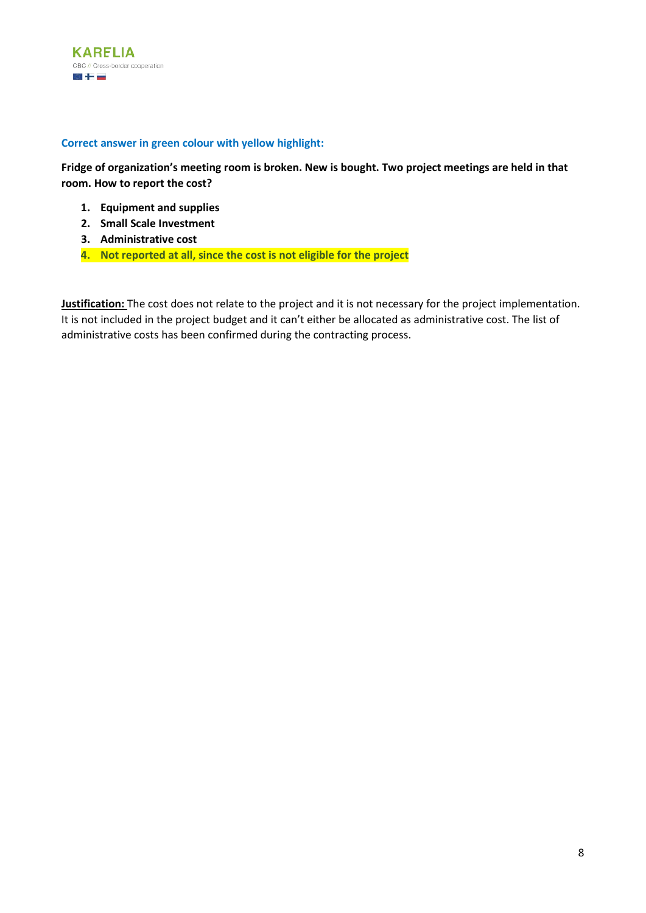**Fridge of organization's meeting room is broken. New is bought. Two project meetings are held in that room. How to report the cost?**

- **1. Equipment and supplies**
- **2. Small Scale Investment**
- **3. Administrative cost**
- **4. Not reported at all, since the cost is not eligible for the project**

**Justification:** The cost does not relate to the project and it is not necessary for the project implementation. It is not included in the project budget and it can't either be allocated as administrative cost. The list of administrative costs has been confirmed during the contracting process.